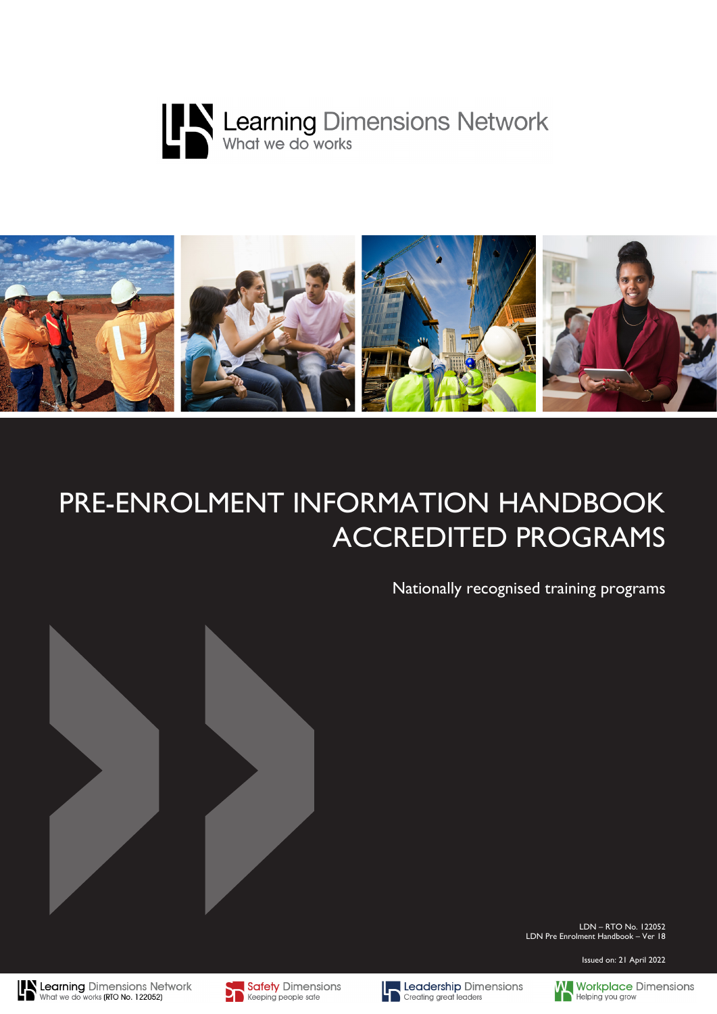



# PRE-ENROLMENT INFORMATION HANDBOOK ACCREDITED PROGRAMS

Nationally recognised training programs



LDN – RTO No. 122052 LDN Pre Enrolment Handbook – Ver 18

Issued on: 21 April 2022





Safety Dimensions Keeping people safe



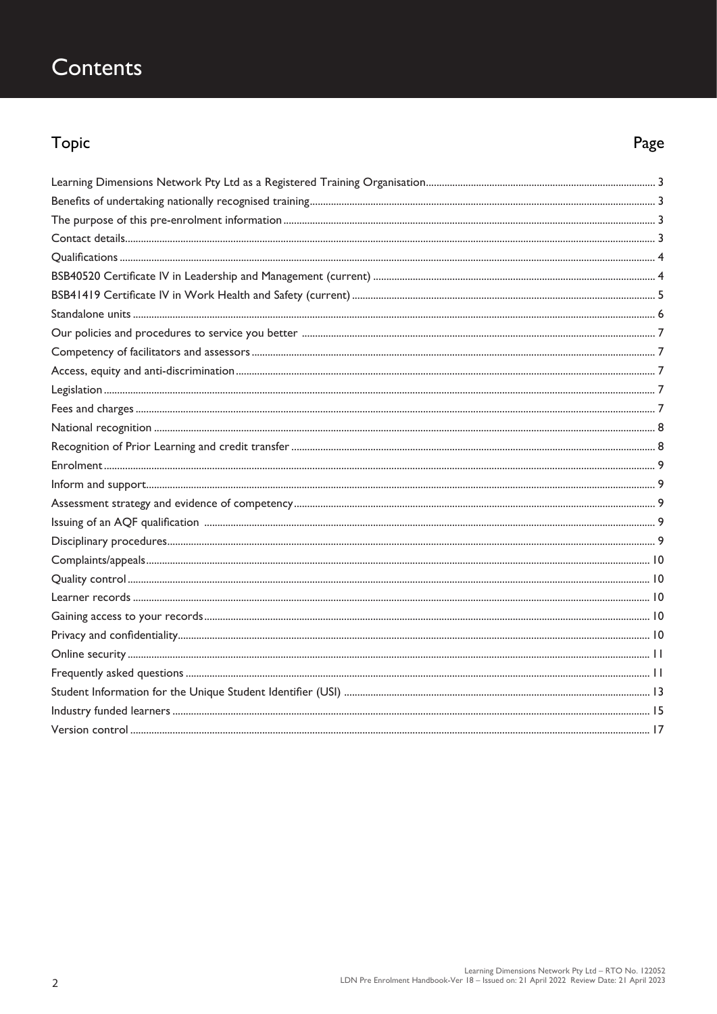## Contents

## Topic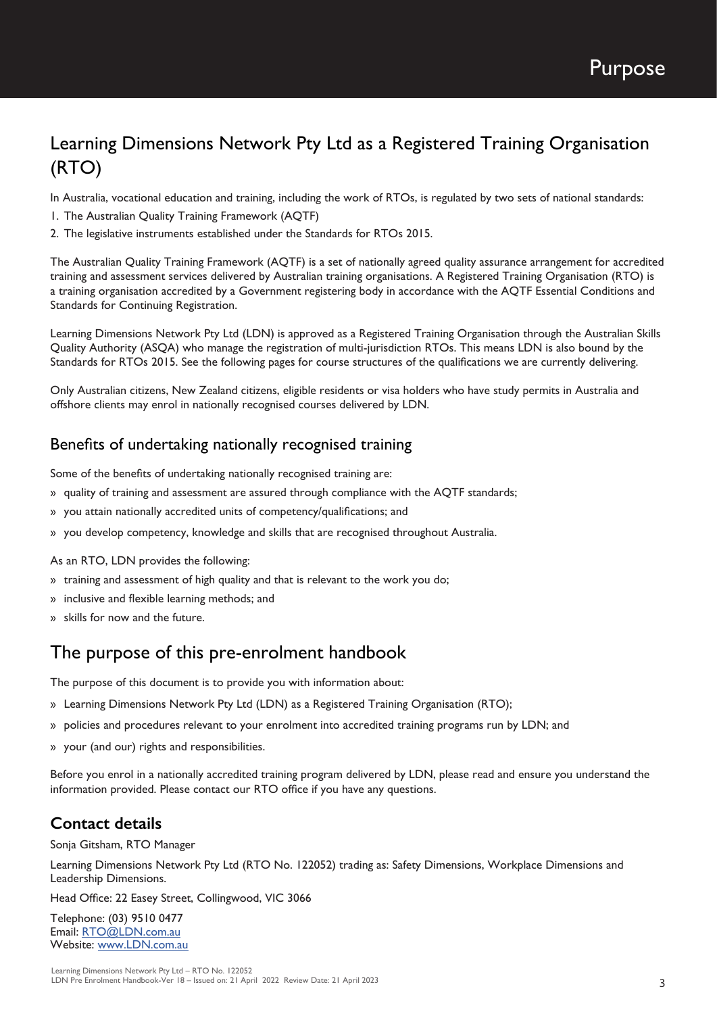Purpose

## Learning Dimensions Network Pty Ltd as a Registered Training Organisation (RTO)

In Australia, vocational education and training, including the work of RTOs, is regulated by two sets of national standards:

- 1. The Australian Quality Training Framework (AQTF)
- 2. The legislative instruments established under the Standards for RTOs 2015.

The Australian Quality Training Framework (AQTF) is a set of nationally agreed quality assurance arrangement for accredited training and assessment services delivered by Australian training organisations. A Registered Training Organisation (RTO) is a training organisation accredited by a Government registering body in accordance with the AQTF Essential Conditions and Standards for Continuing Registration.

Learning Dimensions Network Pty Ltd (LDN) is approved as a Registered Training Organisation through the Australian Skills Quality Authority (ASQA) who manage the registration of multi-jurisdiction RTOs. This means LDN is also bound by the Standards for RTOs 2015. See the following pages for course structures of the qualifications we are currently delivering.

Only Australian citizens, New Zealand citizens, eligible residents or visa holders who have study permits in Australia and offshore clients may enrol in nationally recognised courses delivered by LDN.

#### Benefits of undertaking nationally recognised training

Some of the benefits of undertaking nationally recognised training are:

- » quality of training and assessment are assured through compliance with the AQTF standards;
- » you attain nationally accredited units of competency/qualifications; and
- » you develop competency, knowledge and skills that are recognised throughout Australia.

As an RTO, LDN provides the following:

- » training and assessment of high quality and that is relevant to the work you do;
- » inclusive and flexible learning methods; and
- » skills for now and the future.

### The purpose of this pre-enrolment handbook

The purpose of this document is to provide you with information about:

- » Learning Dimensions Network Pty Ltd (LDN) as a Registered Training Organisation (RTO);
- » policies and procedures relevant to your enrolment into accredited training programs run by LDN; and
- » your (and our) rights and responsibilities.

Before you enrol in a nationally accredited training program delivered by LDN, please read and ensure you understand the information provided. Please contact our RTO office if you have any questions.

#### **Contact details**

Sonja Gitsham, RTO Manager

Learning Dimensions Network Pty Ltd (RTO No. 122052) trading as: Safety Dimensions, Workplace Dimensions and Leadership Dimensions.

Head Office: 22 Easey Street, Collingwood, VIC 3066

Telephone: (03) 9510 0477 Email: RTO@LDN.com.au Website: www.LDN.com.au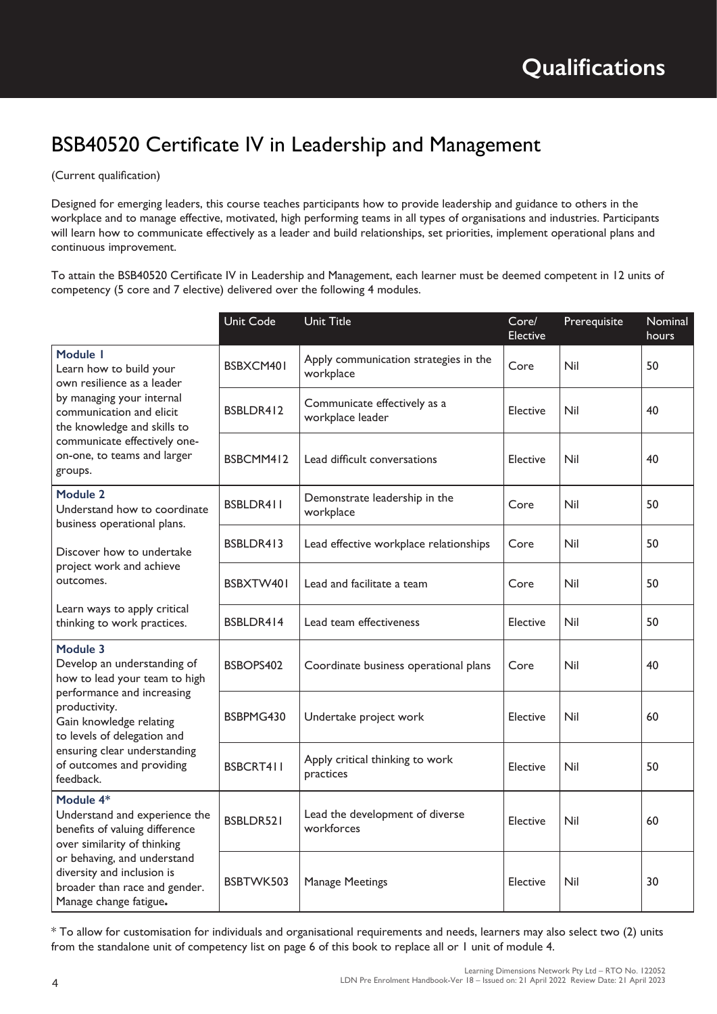## BSB40520 Certificate IV in Leadership and Management

#### (Current qualification)

Designed for emerging leaders, this course teaches participants how to provide leadership and guidance to others in the workplace and to manage effective, motivated, high performing teams in all types of organisations and industries. Participants will learn how to communicate effectively as a leader and build relationships, set priorities, implement operational plans and continuous improvement.

To attain the BSB40520 Certificate IV in Leadership and Management, each learner must be deemed competent in 12 units of competency (5 core and 7 elective) delivered over the following 4 modules.

|                                                                                                                                                                                                                                                             | <b>Unit Code</b> | <b>Unit Title</b>                                  | Core/<br>Elective | Prerequisite | Nominal<br>hours |
|-------------------------------------------------------------------------------------------------------------------------------------------------------------------------------------------------------------------------------------------------------------|------------------|----------------------------------------------------|-------------------|--------------|------------------|
| Module I<br>Learn how to build your<br>own resilience as a leader<br>by managing your internal<br>communication and elicit<br>the knowledge and skills to<br>communicate effectively one-<br>on-one, to teams and larger<br>groups.                         | BSBXCM401        | Apply communication strategies in the<br>workplace | Core              | Nil          | 50               |
|                                                                                                                                                                                                                                                             | BSBLDR412        | Communicate effectively as a<br>workplace leader   | Elective          | Nil          | 40               |
|                                                                                                                                                                                                                                                             | BSBCMM412        | Lead difficult conversations                       | Elective          | Nil          | 40               |
| Module 2<br>Understand how to coordinate<br>business operational plans.<br>Discover how to undertake<br>project work and achieve<br>outcomes.<br>Learn ways to apply critical<br>thinking to work practices.                                                | BSBLDR411        | Demonstrate leadership in the<br>workplace         | Core              | Nil          | 50               |
|                                                                                                                                                                                                                                                             | BSBLDR413        | Lead effective workplace relationships             | Core              | Nil          | 50               |
|                                                                                                                                                                                                                                                             | BSBXTW401        | Lead and facilitate a team                         | Core              | Nil          | 50               |
|                                                                                                                                                                                                                                                             | BSBLDR414        | Lead team effectiveness                            | Elective          | Nil          | 50               |
| Module 3<br>Develop an understanding of<br>how to lead your team to high<br>performance and increasing<br>productivity.<br>Gain knowledge relating<br>to levels of delegation and<br>ensuring clear understanding<br>of outcomes and providing<br>feedback. | BSBOPS402        | Coordinate business operational plans              | Core              | Nil          | 40               |
|                                                                                                                                                                                                                                                             | BSBPMG430        | Undertake project work                             | Elective          | Nil          | 60               |
|                                                                                                                                                                                                                                                             | BSBCRT411        | Apply critical thinking to work<br>practices       | Elective          | Nil          | 50               |
| Module 4*<br>Understand and experience the<br>benefits of valuing difference<br>over similarity of thinking<br>or behaving, and understand<br>diversity and inclusion is<br>broader than race and gender.<br>Manage change fatigue.                         | BSBLDR521        | Lead the development of diverse<br>workforces      | Elective          | Nil          | 60               |
|                                                                                                                                                                                                                                                             | BSBTWK503        | <b>Manage Meetings</b>                             | Elective          | Nil          | 30               |

\* To allow for customisation for individuals and organisational requirements and needs, learners may also select two (2) units from the standalone unit of competency list on page 6 of this book to replace all or 1 unit of module 4.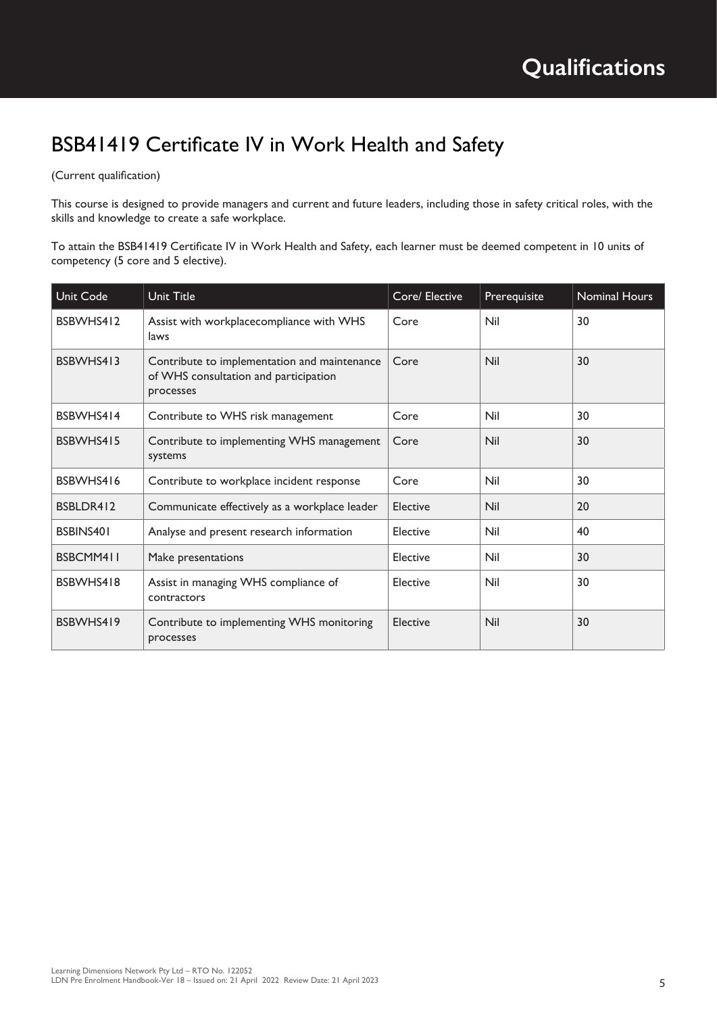## BSB41419 Certificate IV in Work Health and Safety

#### (Current qualification)

This course is designed to provide managers and current and future leaders, including those in safety critical roles, with the skills and knowledge to create a safe workplace.

To attain the BSB41419 Certificate IV in Work Health and Safety, each learner must be deemed competent in 10 units of competency (5 core and 5 elective).

| Unit Code | Unit Title                                                                                         | Core/ Elective | Prerequisite | <b>Nominal Hours</b> |
|-----------|----------------------------------------------------------------------------------------------------|----------------|--------------|----------------------|
| BSBWHS412 | Assist with workplacecompliance with WHS<br>laws                                                   | Core           | Nil          | 30                   |
| BSBWHS413 | Contribute to implementation and maintenance<br>of WHS consultation and participation<br>processes | Core           | Nil          | 30                   |
| BSBWHS414 | Contribute to WHS risk management                                                                  | Core           | Nil          | 30                   |
| BSBWHS415 | Contribute to implementing WHS management<br>systems                                               | Core           | Nil          | 30                   |
| BSBWHS416 | Contribute to workplace incident response                                                          | Core           | Nil          | 30                   |
| BSBLDR412 | Communicate effectively as a workplace leader                                                      | Elective       | Nil          | 20                   |
| BSBINS401 | Analyse and present research information                                                           | Elective       | Nil          | 40                   |
| BSBCMM411 | Make presentations                                                                                 | Elective       | Nil          | 30                   |
| BSBWHS418 | Assist in managing WHS compliance of<br>contractors                                                | Elective       | Nil          | 30                   |
| BSBWHS419 | Contribute to implementing WHS monitoring<br>processes                                             | Elective       | Nil          | 30                   |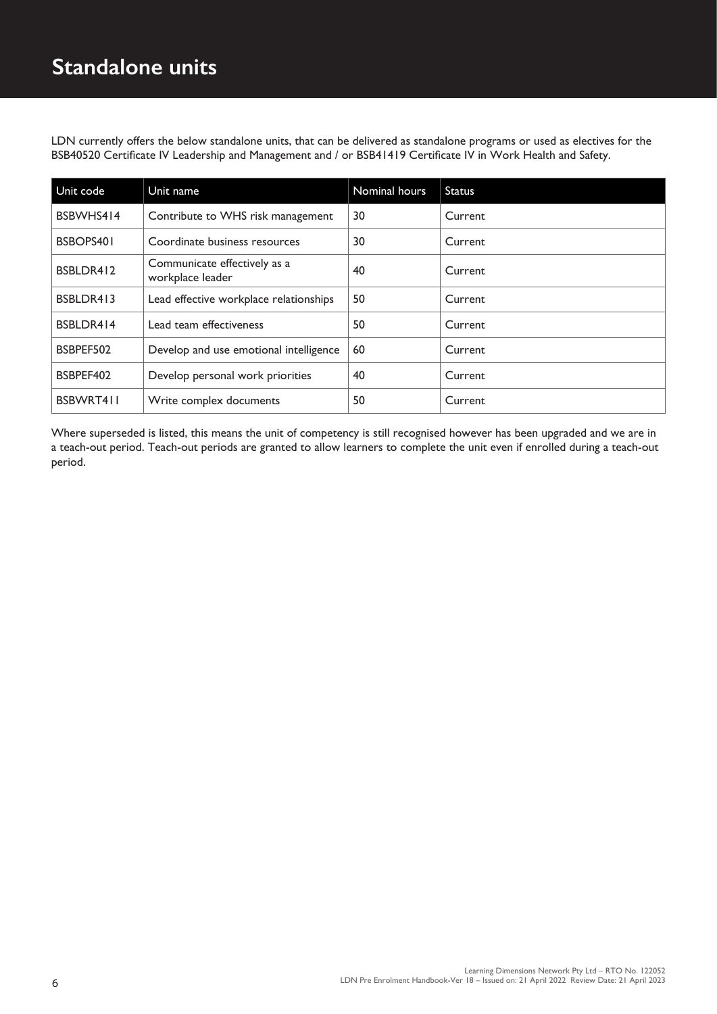LDN currently offers the below standalone units, that can be delivered as standalone programs or used as electives for the BSB40520 Certificate IV Leadership and Management and / or BSB41419 Certificate IV in Work Health and Safety.

| Unit code | Unit name                                        | Nominal hours | <b>Status</b> |
|-----------|--------------------------------------------------|---------------|---------------|
| BSBWHS414 | Contribute to WHS risk management                | 30            | Current       |
| BSBOPS401 | Coordinate business resources                    | 30            | Current       |
| BSBLDR412 | Communicate effectively as a<br>workplace leader | 40            | Current       |
| BSBLDR413 | Lead effective workplace relationships           | 50            | Current       |
| BSBLDR414 | Lead team effectiveness                          | 50            | Current       |
| BSBPEF502 | Develop and use emotional intelligence           | 60            | Current       |
| BSBPEF402 | Develop personal work priorities                 | 40            | Current       |
| BSBWRT411 | Write complex documents                          | 50            | Current       |

Where superseded is listed, this means the unit of competency is still recognised however has been upgraded and we are in a teach-out period. Teach-out periods are granted to allow learners to complete the unit even if enrolled during a teach-out period.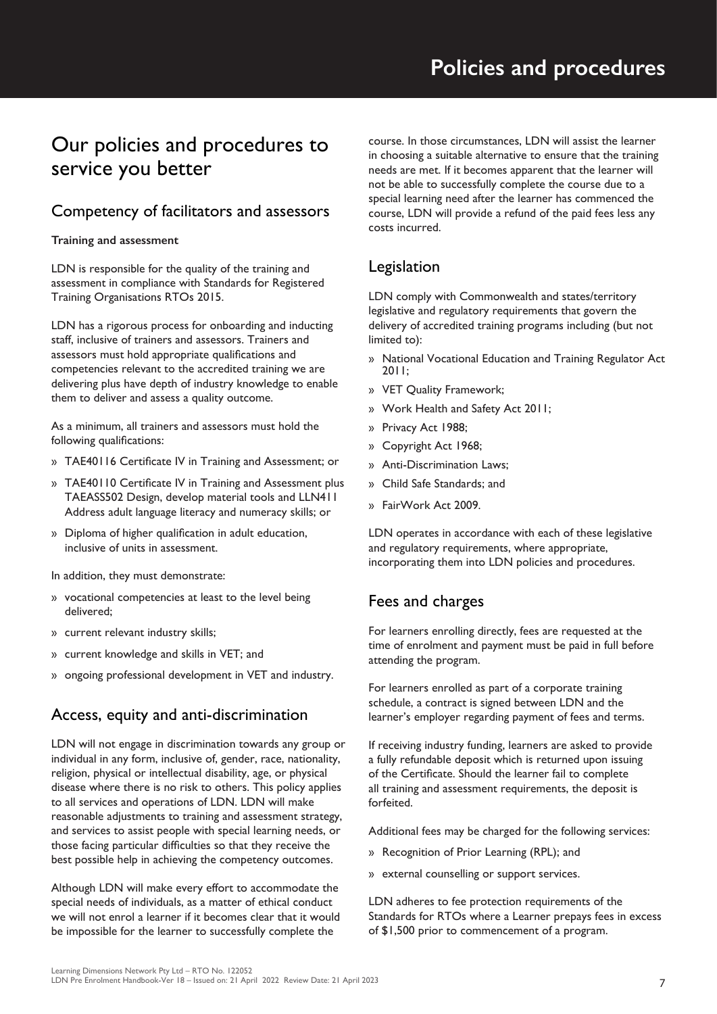## Our policies and procedures to service you better

## Competency of facilitators and assessors

#### **Training and assessment**

LDN is responsible for the quality of the training and assessment in compliance with Standards for Registered Training Organisations RTOs 2015.

LDN has a rigorous process for onboarding and inducting staff, inclusive of trainers and assessors. Trainers and assessors must hold appropriate qualifications and competencies relevant to the accredited training we are delivering plus have depth of industry knowledge to enable them to deliver and assess a quality outcome.

As a minimum, all trainers and assessors must hold the following qualifications:

- » TAE40116 Certificate IV in Training and Assessment; or
- » TAE40110 Certificate IV in Training and Assessment plus TAEASS502 Design, develop material tools and LLN411 Address adult language literacy and numeracy skills; or
- » Diploma of higher qualification in adult education, inclusive of units in assessment.

In addition, they must demonstrate:

- » vocational competencies at least to the level being delivered;
- » current relevant industry skills;
- » current knowledge and skills in VET; and
- » ongoing professional development in VET and industry.

## Access, equity and anti-discrimination

LDN will not engage in discrimination towards any group or individual in any form, inclusive of, gender, race, nationality, religion, physical or intellectual disability, age, or physical disease where there is no risk to others. This policy applies to all services and operations of LDN. LDN will make reasonable adjustments to training and assessment strategy, and services to assist people with special learning needs, or those facing particular difficulties so that they receive the best possible help in achieving the competency outcomes.

Although LDN will make every effort to accommodate the special needs of individuals, as a matter of ethical conduct we will not enrol a learner if it becomes clear that it would be impossible for the learner to successfully complete the

course. In those circumstances, LDN will assist the learner in choosing a suitable alternative to ensure that the training needs are met. If it becomes apparent that the learner will not be able to successfully complete the course due to a special learning need after the learner has commenced the course, LDN will provide a refund of the paid fees less any costs incurred.

## Legislation

LDN comply with Commonwealth and states/territory legislative and regulatory requirements that govern the delivery of accredited training programs including (but not limited to):

- » National Vocational Education and Training Regulator Act 2011;
- » VET Quality Framework;
- » Work Health and Safety Act 2011;
- » Privacy Act 1988;
- » Copyright Act 1968;
- » Anti-Discrimination Laws;
- » Child Safe Standards; and
- » FairWork Act 2009.

LDN operates in accordance with each of these legislative and regulatory requirements, where appropriate, incorporating them into LDN policies and procedures.

### Fees and charges

For learners enrolling directly, fees are requested at the time of enrolment and payment must be paid in full before attending the program.

For learners enrolled as part of a corporate training schedule, a contract is signed between LDN and the learner's employer regarding payment of fees and terms.

If receiving industry funding, learners are asked to provide a fully refundable deposit which is returned upon issuing of the Certificate. Should the learner fail to complete all training and assessment requirements, the deposit is forfeited.

Additional fees may be charged for the following services:

- » Recognition of Prior Learning (RPL); and
- » external counselling or support services.

LDN adheres to fee protection requirements of the Standards for RTOs where a Learner prepays fees in excess of \$1,500 prior to commencement of a program.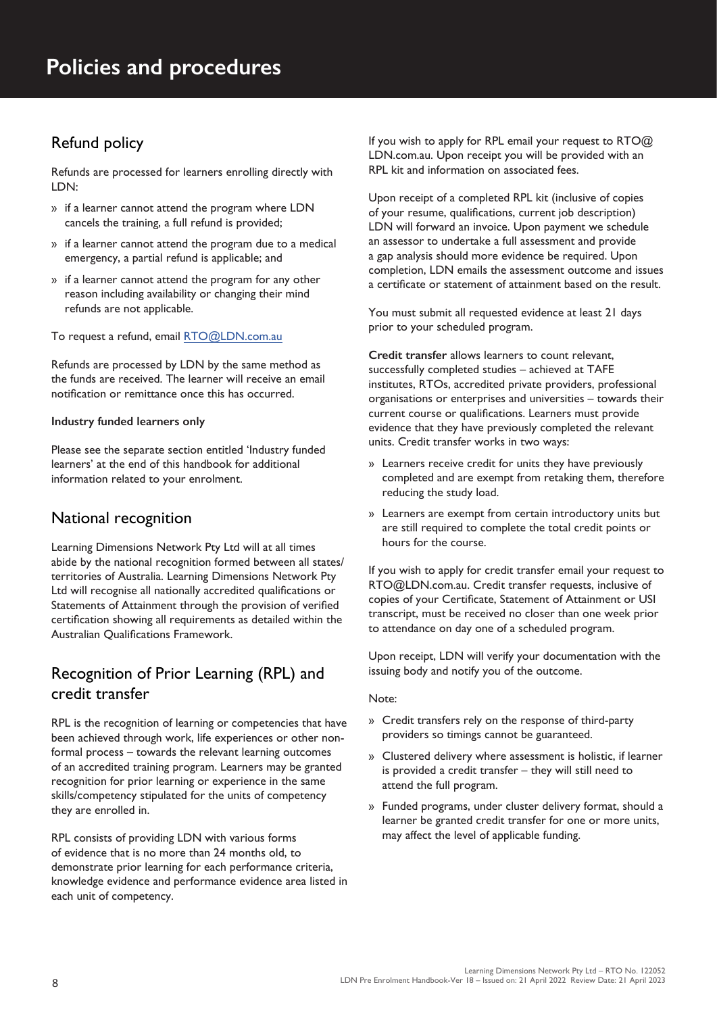## Refund policy

Refunds are processed for learners enrolling directly with LDN:

- » if a learner cannot attend the program where LDN cancels the training, a full refund is provided;
- » if a learner cannot attend the program due to a medical emergency, a partial refund is applicable; and
- » if a learner cannot attend the program for any other reason including availability or changing their mind refunds are not applicable.

To request a refund, email RTO@LDN.com.au

Refunds are processed by LDN by the same method as the funds are received. The learner will receive an email notification or remittance once this has occurred.

#### **Industry funded learners only**

Please see the separate section entitled 'Industry funded learners' at the end of this handbook for additional information related to your enrolment.

#### National recognition

Learning Dimensions Network Pty Ltd will at all times abide by the national recognition formed between all states/ territories of Australia. Learning Dimensions Network Pty Ltd will recognise all nationally accredited qualifications or Statements of Attainment through the provision of verified certification showing all requirements as detailed within the Australian Qualifications Framework.

### Recognition of Prior Learning (RPL) and credit transfer

RPL is the recognition of learning or competencies that have been achieved through work, life experiences or other nonformal process – towards the relevant learning outcomes of an accredited training program. Learners may be granted recognition for prior learning or experience in the same skills/competency stipulated for the units of competency they are enrolled in.

RPL consists of providing LDN with various forms of evidence that is no more than 24 months old, to demonstrate prior learning for each performance criteria, knowledge evidence and performance evidence area listed in each unit of competency.

If you wish to apply for RPL email your request to RTO@ LDN.com.au. Upon receipt you will be provided with an RPL kit and information on associated fees.

Upon receipt of a completed RPL kit (inclusive of copies of your resume, qualifications, current job description) LDN will forward an invoice. Upon payment we schedule an assessor to undertake a full assessment and provide a gap analysis should more evidence be required. Upon completion, LDN emails the assessment outcome and issues a certificate or statement of attainment based on the result.

You must submit all requested evidence at least 21 days prior to your scheduled program.

**Credit transfer** allows learners to count relevant, successfully completed studies – achieved at TAFE institutes, RTOs, accredited private providers, professional organisations or enterprises and universities – towards their current course or qualifications. Learners must provide evidence that they have previously completed the relevant units. Credit transfer works in two ways:

- » Learners receive credit for units they have previously completed and are exempt from retaking them, therefore reducing the study load.
- » Learners are exempt from certain introductory units but are still required to complete the total credit points or hours for the course.

If you wish to apply for credit transfer email your request to RTO@LDN.com.au. Credit transfer requests, inclusive of copies of your Certificate, Statement of Attainment or USI transcript, must be received no closer than one week prior to attendance on day one of a scheduled program.

Upon receipt, LDN will verify your documentation with the issuing body and notify you of the outcome.

#### Note:

- » Credit transfers rely on the response of third-party providers so timings cannot be guaranteed.
- » Clustered delivery where assessment is holistic, if learner is provided a credit transfer – they will still need to attend the full program.
- » Funded programs, under cluster delivery format, should a learner be granted credit transfer for one or more units, may affect the level of applicable funding.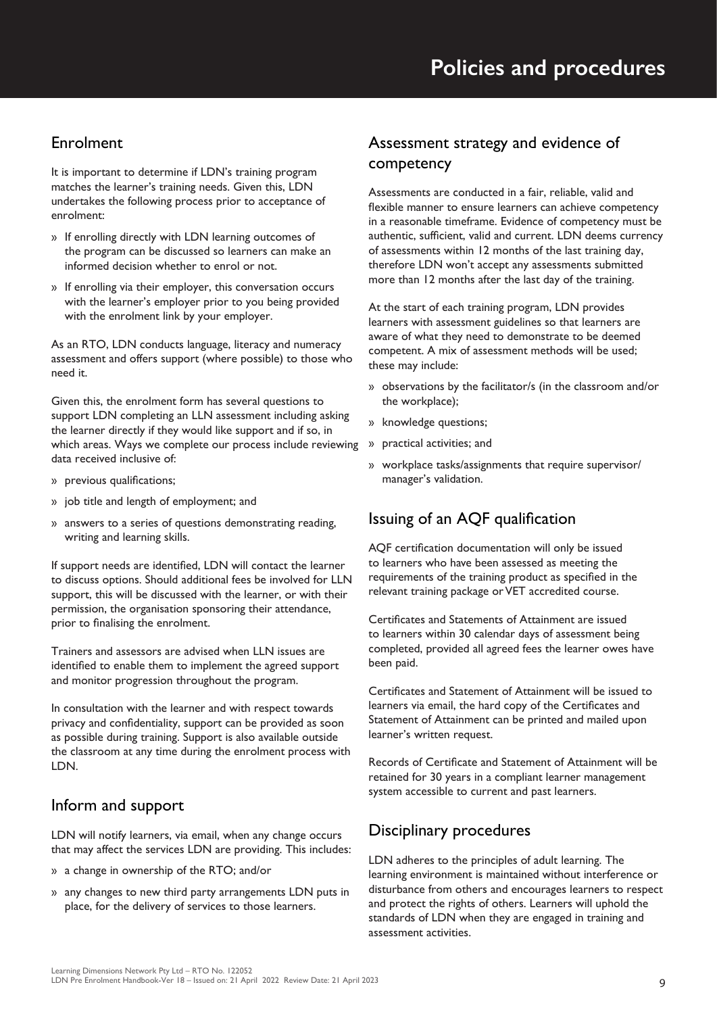### Enrolment

It is important to determine if LDN's training program matches the learner's training needs. Given this, LDN undertakes the following process prior to acceptance of enrolment:

- » If enrolling directly with LDN learning outcomes of the program can be discussed so learners can make an informed decision whether to enrol or not.
- » If enrolling via their employer, this conversation occurs with the learner's employer prior to you being provided with the enrolment link by your employer.

As an RTO, LDN conducts language, literacy and numeracy assessment and offers support (where possible) to those who need it.

Given this, the enrolment form has several questions to support LDN completing an LLN assessment including asking the learner directly if they would like support and if so, in which areas. Ways we complete our process include reviewing data received inclusive of:

- » previous qualifications;
- » job title and length of employment; and
- » answers to a series of questions demonstrating reading, writing and learning skills.

If support needs are identified, LDN will contact the learner to discuss options. Should additional fees be involved for LLN support, this will be discussed with the learner, or with their permission, the organisation sponsoring their attendance, prior to finalising the enrolment.

Trainers and assessors are advised when LLN issues are identified to enable them to implement the agreed support and monitor progression throughout the program.

In consultation with the learner and with respect towards privacy and confidentiality, support can be provided as soon as possible during training. Support is also available outside the classroom at any time during the enrolment process with LDN.

#### Inform and support

LDN will notify learners, via email, when any change occurs that may affect the services LDN are providing. This includes:

- » a change in ownership of the RTO; and/or
- » any changes to new third party arrangements LDN puts in place, for the delivery of services to those learners.

### Assessment strategy and evidence of competency

Assessments are conducted in a fair, reliable, valid and flexible manner to ensure learners can achieve competency in a reasonable timeframe. Evidence of competency must be authentic, sufficient, valid and current. LDN deems currency of assessments within 12 months of the last training day, therefore LDN won't accept any assessments submitted more than 12 months after the last day of the training.

At the start of each training program, LDN provides learners with assessment guidelines so that learners are aware of what they need to demonstrate to be deemed competent. A mix of assessment methods will be used; these may include:

- » observations by the facilitator/s (in the classroom and/or the workplace);
- » knowledge questions;
- » practical activities; and
- » workplace tasks/assignments that require supervisor/ manager's validation.

#### Issuing of an AQF qualification

AQF certification documentation will only be issued to learners who have been assessed as meeting the requirements of the training product as specified in the relevant training package or VET accredited course.

Certificates and Statements of Attainment are issued to learners within 30 calendar days of assessment being completed, provided all agreed fees the learner owes have been paid.

Certificates and Statement of Attainment will be issued to learners via email, the hard copy of the Certificates and Statement of Attainment can be printed and mailed upon learner's written request.

Records of Certificate and Statement of Attainment will be retained for 30 years in a compliant learner management system accessible to current and past learners.

#### Disciplinary procedures

LDN adheres to the principles of adult learning. The learning environment is maintained without interference or disturbance from others and encourages learners to respect and protect the rights of others. Learners will uphold the standards of LDN when they are engaged in training and assessment activities.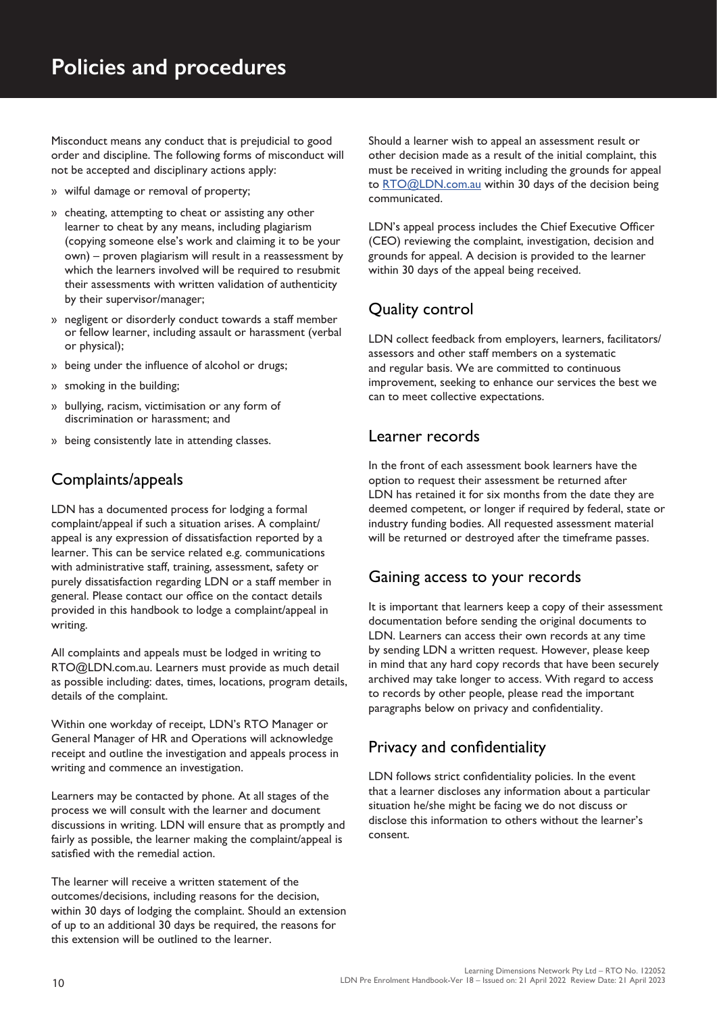Misconduct means any conduct that is prejudicial to good order and discipline. The following forms of misconduct will not be accepted and disciplinary actions apply:

- » wilful damage or removal of property;
- » cheating, attempting to cheat or assisting any other learner to cheat by any means, including plagiarism (copying someone else's work and claiming it to be your own) – proven plagiarism will result in a reassessment by which the learners involved will be required to resubmit their assessments with written validation of authenticity by their supervisor/manager;
- » negligent or disorderly conduct towards a staff member or fellow learner, including assault or harassment (verbal or physical);
- » being under the influence of alcohol or drugs;
- » smoking in the building;
- » bullying, racism, victimisation or any form of discrimination or harassment; and
- » being consistently late in attending classes.

#### Complaints/appeals

LDN has a documented process for lodging a formal complaint/appeal if such a situation arises. A complaint/ appeal is any expression of dissatisfaction reported by a learner. This can be service related e.g. communications with administrative staff, training, assessment, safety or purely dissatisfaction regarding LDN or a staff member in general. Please contact our office on the contact details provided in this handbook to lodge a complaint/appeal in writing.

All complaints and appeals must be lodged in writing to RTO@LDN.com.au. Learners must provide as much detail as possible including: dates, times, locations, program details, details of the complaint.

Within one workday of receipt, LDN's RTO Manager or General Manager of HR and Operations will acknowledge receipt and outline the investigation and appeals process in writing and commence an investigation.

Learners may be contacted by phone. At all stages of the process we will consult with the learner and document discussions in writing. LDN will ensure that as promptly and fairly as possible, the learner making the complaint/appeal is satisfied with the remedial action.

The learner will receive a written statement of the outcomes/decisions, including reasons for the decision, within 30 days of lodging the complaint. Should an extension of up to an additional 30 days be required, the reasons for this extension will be outlined to the learner.

Should a learner wish to appeal an assessment result or other decision made as a result of the initial complaint, this must be received in writing including the grounds for appeal to RTO@LDN.com.au within 30 days of the decision being communicated.

LDN's appeal process includes the Chief Executive Officer (CEO) reviewing the complaint, investigation, decision and grounds for appeal. A decision is provided to the learner within 30 days of the appeal being received.

### Quality control

LDN collect feedback from employers, learners, facilitators/ assessors and other staff members on a systematic and regular basis. We are committed to continuous improvement, seeking to enhance our services the best we can to meet collective expectations.

#### Learner records

In the front of each assessment book learners have the option to request their assessment be returned after LDN has retained it for six months from the date they are deemed competent, or longer if required by federal, state or industry funding bodies. All requested assessment material will be returned or destroyed after the timeframe passes.

#### Gaining access to your records

It is important that learners keep a copy of their assessment documentation before sending the original documents to LDN. Learners can access their own records at any time by sending LDN a written request. However, please keep in mind that any hard copy records that have been securely archived may take longer to access. With regard to access to records by other people, please read the important paragraphs below on privacy and confidentiality.

#### Privacy and confidentiality

LDN follows strict confidentiality policies. In the event that a learner discloses any information about a particular situation he/she might be facing we do not discuss or disclose this information to others without the learner's consent.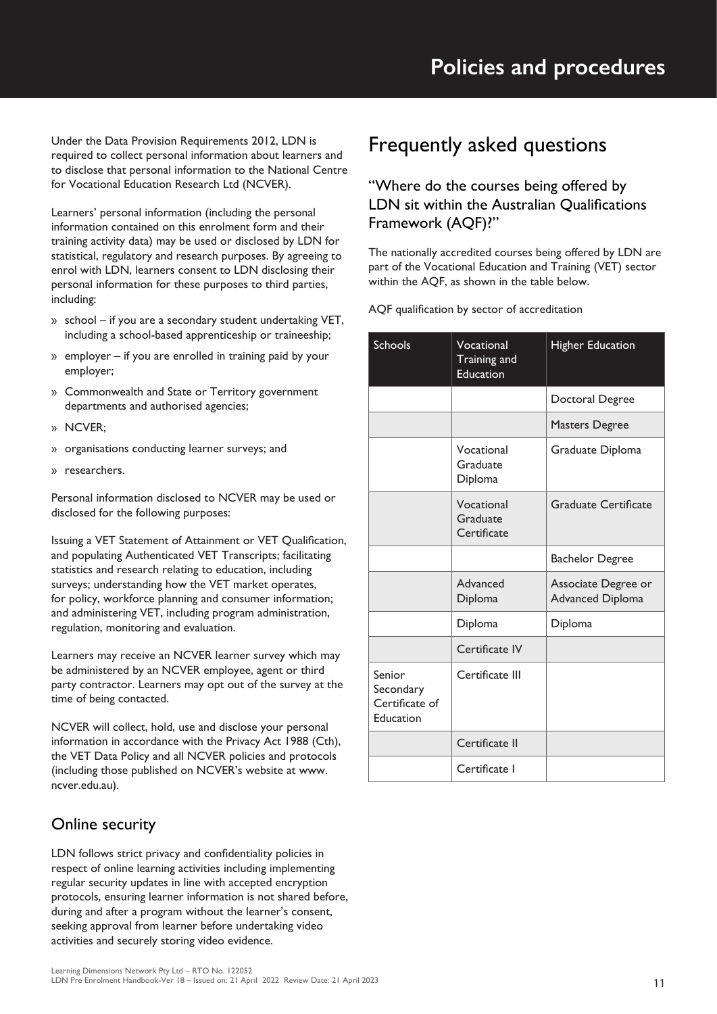Under the Data Provision Requirements 2012, LDN is required to collect personal information about learners and to disclose that personal information to the National Centre for Vocational Education Research Ltd (NCVER).

Learners' personal information (including the personal information contained on this enrolment form and their training activity data) may be used or disclosed by LDN for statistical, regulatory and research purposes. By agreeing to enrol with LDN, learners consent to LDN disclosing their personal information for these purposes to third parties, including:

- » school if you are a secondary student undertaking VET, including a school-based apprenticeship or traineeship;
- » employer if you are enrolled in training paid by your employer;
- » Commonwealth and State or Territory government departments and authorised agencies;
- » NCVER;
- » organisations conducting learner surveys; and
- » researchers.

Personal information disclosed to NCVER may be used or disclosed for the following purposes:

Issuing a VET Statement of Attainment or VET Qualification, and populating Authenticated VET Transcripts; facilitating statistics and research relating to education, including surveys; understanding how the VET market operates, for policy, workforce planning and consumer information; and administering VET, including program administration, regulation, monitoring and evaluation.

Learners may receive an NCVER learner survey which may be administered by an NCVER employee, agent or third party contractor. Learners may opt out of the survey at the time of being contacted.

NCVER will collect, hold, use and disclose your personal information in accordance with the Privacy Act 1988 (Cth), the VET Data Policy and all NCVER policies and protocols (including those published on NCVER's website at www. ncver.edu.au).

### Online security

LDN follows strict privacy and confidentiality policies in respect of online learning activities including implementing regular security updates in line with accepted encryption protocols, ensuring learner information is not shared before, during and after a program without the learner's consent, seeking approval from learner before undertaking video activities and securely storing video evidence.

## Frequently asked questions

#### "Where do the courses being offered by LDN sit within the Australian Qualifications Framework (AQF)?"

The nationally accredited courses being offered by LDN are part of the Vocational Education and Training (VET) sector within the AQF, as shown in the table below.

AQF qualification by sector of accreditation

| <b>Schools</b>                                     | Vocational<br>Training and<br>Education | <b>Higher Education</b>                        |
|----------------------------------------------------|-----------------------------------------|------------------------------------------------|
|                                                    |                                         | Doctoral Degree                                |
|                                                    |                                         | <b>Masters Degree</b>                          |
|                                                    | Vocational<br>Graduate<br>Diploma       | Graduate Diploma                               |
|                                                    | Vocational<br>Graduate<br>Certificate   | <b>Graduate Certificate</b>                    |
|                                                    |                                         | <b>Bachelor Degree</b>                         |
|                                                    | Advanced<br>Diploma                     | Associate Degree or<br><b>Advanced Diploma</b> |
|                                                    | Diploma                                 | Diploma                                        |
|                                                    | Certificate IV                          |                                                |
| Senior<br>Secondary<br>Certificate of<br>Education | Certificate III                         |                                                |
|                                                    | Certificate II                          |                                                |
|                                                    | Certificate I                           |                                                |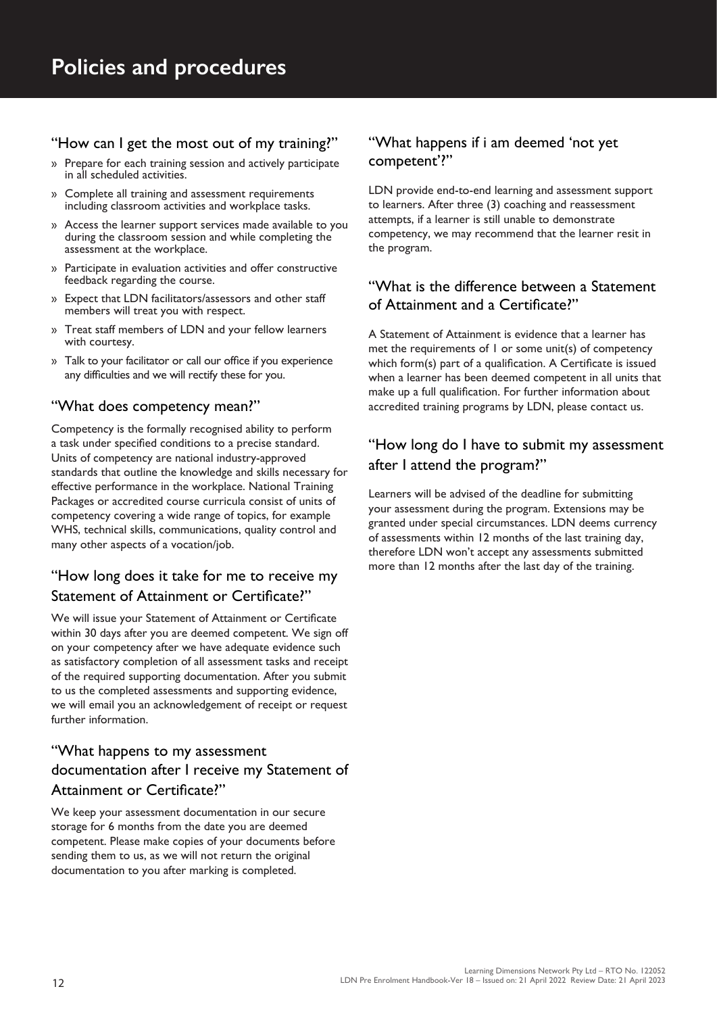#### "How can I get the most out of my training?"

- » Prepare for each training session and actively participate in all scheduled activities.
- » Complete all training and assessment requirements including classroom activities and workplace tasks.
- » Access the learner support services made available to you during the classroom session and while completing the assessment at the workplace.
- » Participate in evaluation activities and offer constructive feedback regarding the course.
- » Expect that LDN facilitators/assessors and other staff members will treat you with respect.
- » Treat staff members of LDN and your fellow learners with courtesy.
- » Talk to your facilitator or call our office if you experience any difficulties and we will rectify these for you.

#### "What does competency mean?"

Competency is the formally recognised ability to perform a task under specified conditions to a precise standard. Units of competency are national industry-approved standards that outline the knowledge and skills necessary for effective performance in the workplace. National Training Packages or accredited course curricula consist of units of competency covering a wide range of topics, for example WHS, technical skills, communications, quality control and many other aspects of a vocation/job.

### "How long does it take for me to receive my Statement of Attainment or Certificate?"

We will issue your Statement of Attainment or Certificate within 30 days after you are deemed competent. We sign off on your competency after we have adequate evidence such as satisfactory completion of all assessment tasks and receipt of the required supporting documentation. After you submit to us the completed assessments and supporting evidence, we will email you an acknowledgement of receipt or request further information.

### "What happens to my assessment documentation after I receive my Statement of Attainment or Certificate?"

We keep your assessment documentation in our secure storage for 6 months from the date you are deemed competent. Please make copies of your documents before sending them to us, as we will not return the original documentation to you after marking is completed.

#### "What happens if i am deemed 'not yet competent'?"

LDN provide end-to-end learning and assessment support to learners. After three (3) coaching and reassessment attempts, if a learner is still unable to demonstrate competency, we may recommend that the learner resit in the program.

#### "What is the difference between a Statement of Attainment and a Certificate?"

A Statement of Attainment is evidence that a learner has met the requirements of 1 or some unit(s) of competency which form(s) part of a qualification. A Certificate is issued when a learner has been deemed competent in all units that make up a full qualification. For further information about accredited training programs by LDN, please contact us.

#### "How long do I have to submit my assessment after I attend the program?"

Learners will be advised of the deadline for submitting your assessment during the program. Extensions may be granted under special circumstances. LDN deems currency of assessments within 12 months of the last training day, therefore LDN won't accept any assessments submitted more than 12 months after the last day of the training.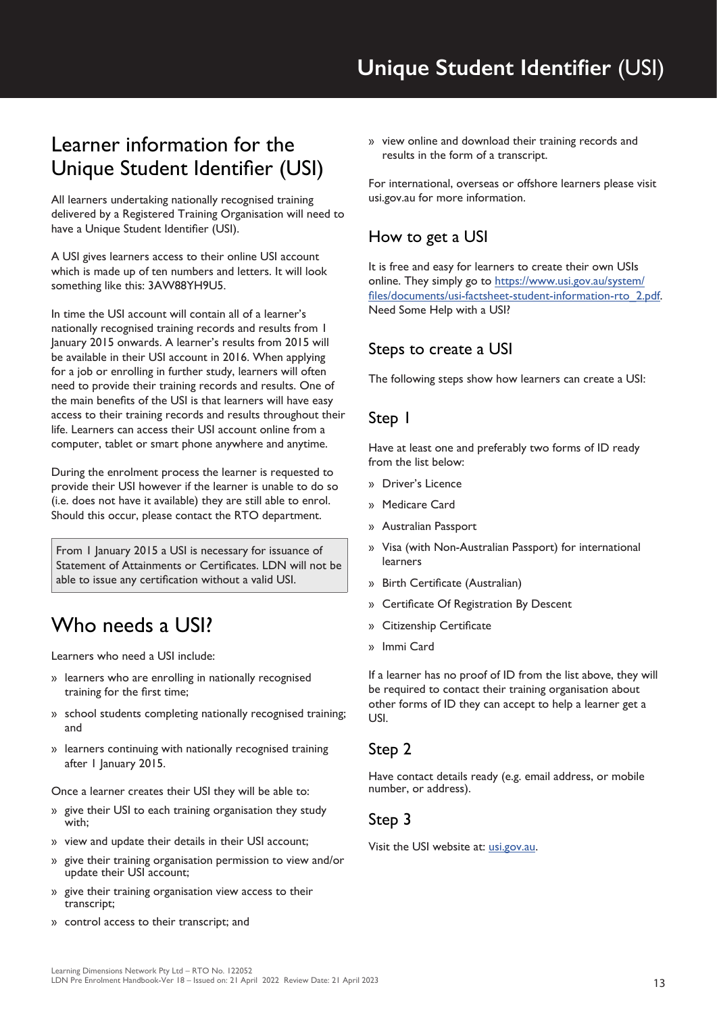## Learner information for the Unique Student Identifier (USI)

All learners undertaking nationally recognised training delivered by a Registered Training Organisation will need to have a Unique Student Identifier (USI).

A USI gives learners access to their online USI account which is made up of ten numbers and letters. It will look something like this: 3AW88YH9U5.

In time the USI account will contain all of a learner's nationally recognised training records and results from 1 January 2015 onwards. A learner's results from 2015 will be available in their USI account in 2016. When applying for a job or enrolling in further study, learners will often need to provide their training records and results. One of the main benefits of the USI is that learners will have easy access to their training records and results throughout their life. Learners can access their USI account online from a computer, tablet or smart phone anywhere and anytime.

During the enrolment process the learner is requested to provide their USI however if the learner is unable to do so (i.e. does not have it available) they are still able to enrol. Should this occur, please contact the RTO department.

From 1 January 2015 a USI is necessary for issuance of Statement of Attainments or Certificates. LDN will not be able to issue any certification without a valid USI.

## Who needs a USI?

Learners who need a USI include:

- » learners who are enrolling in nationally recognised training for the first time;
- » school students completing nationally recognised training; and
- » learners continuing with nationally recognised training after 1 January 2015.

Once a learner creates their USI they will be able to:

- » give their USI to each training organisation they study with;
- » view and update their details in their USI account;
- » give their training organisation permission to view and/or update their USI account;
- » give their training organisation view access to their transcript;
- » control access to their transcript; and

» view online and download their training records and results in the form of a transcript.

For international, overseas or offshore learners please visit usi.gov.au for more information.

#### How to get a USI

It is free and easy for learners to create their own USIs online. They simply go to https://www.usi.gov.au/system/ files/documents/usi-factsheet-student-information-rto\_2.pdf. Need Some Help with a USI?

#### Steps to create a USI

The following steps show how learners can create a USI:

#### Step 1

Have at least one and preferably two forms of ID ready from the list below:

- » Driver's Licence
- » Medicare Card
- » Australian Passport
- » Visa (with Non-Australian Passport) for international learners
- » Birth Certificate (Australian)
- » Certificate Of Registration By Descent
- » Citizenship Certificate
- » Immi Card

If a learner has no proof of ID from the list above, they will be required to contact their training organisation about other forms of ID they can accept to help a learner get a USI.

#### Step 2

Have contact details ready (e.g. email address, or mobile number, or address).

#### Step 3

Visit the USI website at: usi.gov.au.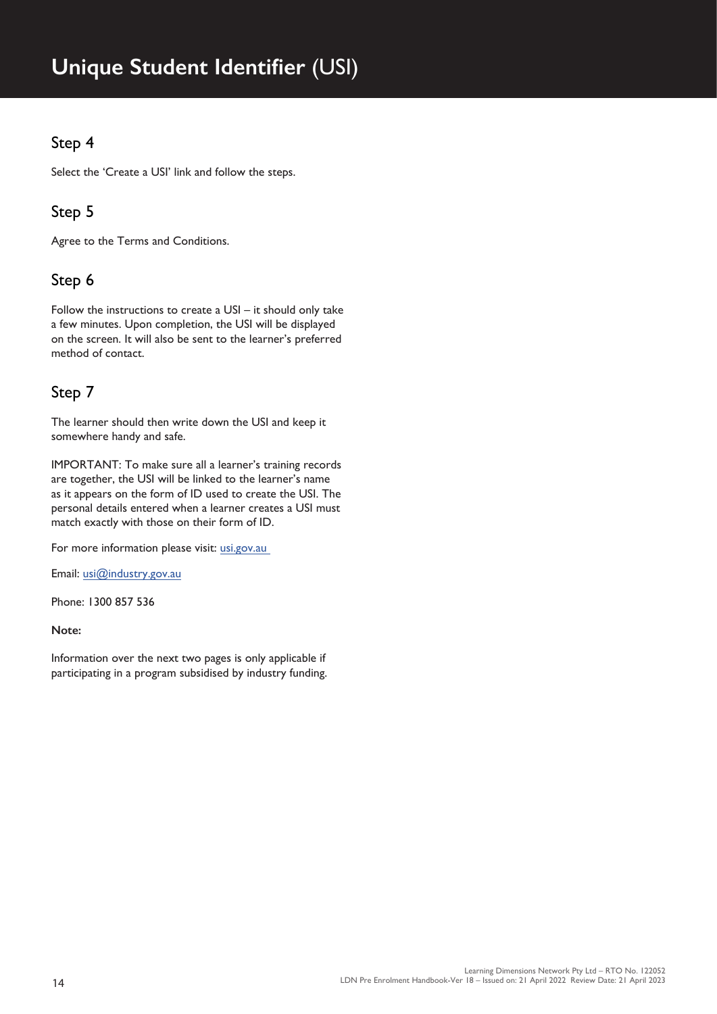## **Unique Student Identifier** (USI)

### Step 4

Select the 'Create a USI' link and follow the steps.

### Step 5

Agree to the Terms and Conditions.

#### Step 6

Follow the instructions to create a USI – it should only take a few minutes. Upon completion, the USI will be displayed on the screen. It will also be sent to the learner's preferred method of contact.

#### Step 7

The learner should then write down the USI and keep it somewhere handy and safe.

IMPORTANT: To make sure all a learner's training records are together, the USI will be linked to the learner's name as it appears on the form of ID used to create the USI. The personal details entered when a learner creates a USI must match exactly with those on their form of ID.

For more information please visit: usi.gov.au

Email: usi@industry.gov.au

Phone: 1300 857 536

#### **Note:**

Information over the next two pages is only applicable if participating in a program subsidised by industry funding.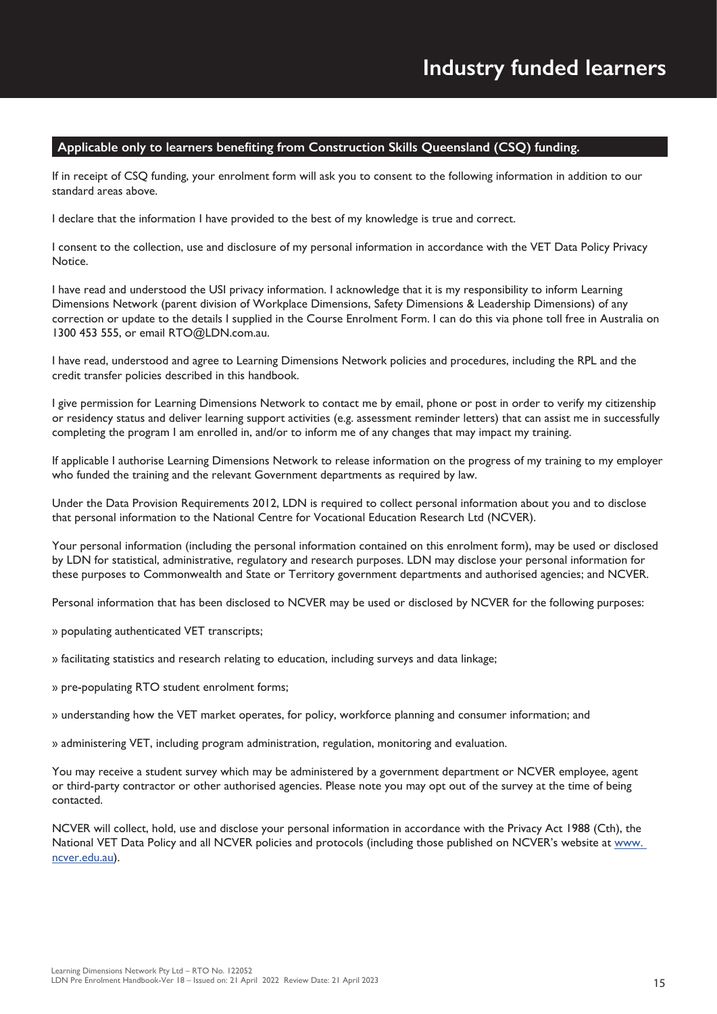#### **Applicable only to learners benefiting from Construction Skills Queensland (CSQ) funding.**

If in receipt of CSQ funding, your enrolment form will ask you to consent to the following information in addition to our standard areas above.

I declare that the information I have provided to the best of my knowledge is true and correct.

I consent to the collection, use and disclosure of my personal information in accordance with the VET Data Policy Privacy **Notice** 

I have read and understood the USI privacy information. I acknowledge that it is my responsibility to inform Learning Dimensions Network (parent division of Workplace Dimensions, Safety Dimensions & Leadership Dimensions) of any correction or update to the details I supplied in the Course Enrolment Form. I can do this via phone toll free in Australia on 1300 453 555, or email RTO@LDN.com.au.

I have read, understood and agree to Learning Dimensions Network policies and procedures, including the RPL and the credit transfer policies described in this handbook.

I give permission for Learning Dimensions Network to contact me by email, phone or post in order to verify my citizenship or residency status and deliver learning support activities (e.g. assessment reminder letters) that can assist me in successfully completing the program I am enrolled in, and/or to inform me of any changes that may impact my training.

If applicable I authorise Learning Dimensions Network to release information on the progress of my training to my employer who funded the training and the relevant Government departments as required by law.

Under the Data Provision Requirements 2012, LDN is required to collect personal information about you and to disclose that personal information to the National Centre for Vocational Education Research Ltd (NCVER).

Your personal information (including the personal information contained on this enrolment form), may be used or disclosed by LDN for statistical, administrative, regulatory and research purposes. LDN may disclose your personal information for these purposes to Commonwealth and State or Territory government departments and authorised agencies; and NCVER.

Personal information that has been disclosed to NCVER may be used or disclosed by NCVER for the following purposes:

» populating authenticated VET transcripts;

» facilitating statistics and research relating to education, including surveys and data linkage;

» pre-populating RTO student enrolment forms;

» understanding how the VET market operates, for policy, workforce planning and consumer information; and

» administering VET, including program administration, regulation, monitoring and evaluation.

You may receive a student survey which may be administered by a government department or NCVER employee, agent or third-party contractor or other authorised agencies. Please note you may opt out of the survey at the time of being contacted.

NCVER will collect, hold, use and disclose your personal information in accordance with the Privacy Act 1988 (Cth), the National VET Data Policy and all NCVER policies and protocols (including those published on NCVER's website at www. ncver.edu.au).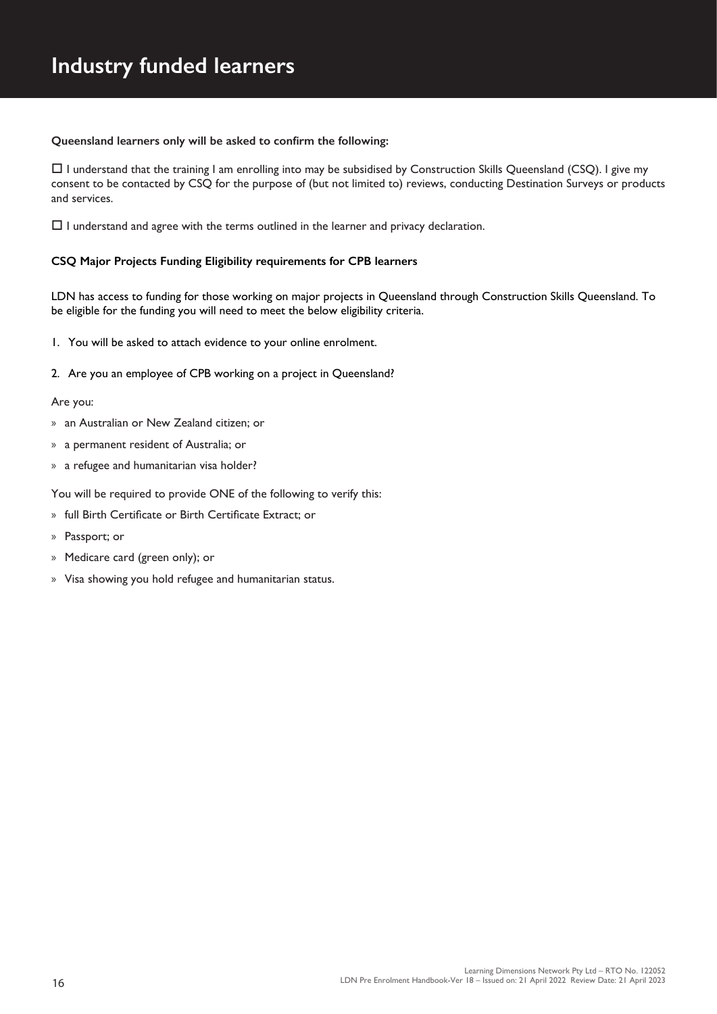#### **Queensland learners only will be asked to confirm the following:**

 $\Box$  I understand that the training I am enrolling into may be subsidised by Construction Skills Queensland (CSQ). I give my consent to be contacted by CSQ for the purpose of (but not limited to) reviews, conducting Destination Surveys or products and services.

 $\Box$  I understand and agree with the terms outlined in the learner and privacy declaration.

#### **CSQ Major Projects Funding Eligibility requirements for CPB learners**

LDN has access to funding for those working on major projects in Queensland through Construction Skills Queensland. To be eligible for the funding you will need to meet the below eligibility criteria.

- 1. You will be asked to attach evidence to your online enrolment.
- 2. Are you an employee of CPB working on a project in Queensland?

#### Are you:

- » an Australian or New Zealand citizen; or
- » a permanent resident of Australia; or
- » a refugee and humanitarian visa holder?

You will be required to provide ONE of the following to verify this:

- » full Birth Certificate or Birth Certificate Extract; or
- » Passport; or
- » Medicare card (green only); or
- » Visa showing you hold refugee and humanitarian status.